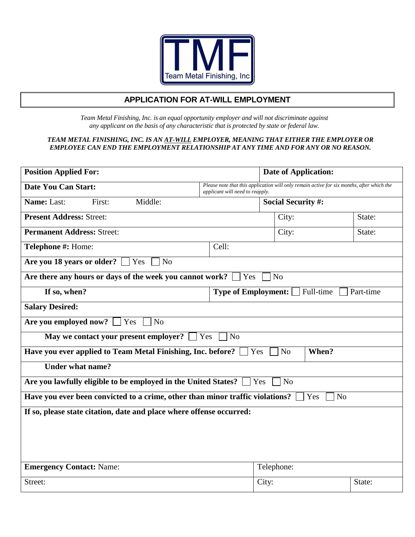

# **APPLICATION FOR AT-WILL EMPLOYMENT**

*Team Metal Finishing, Inc. is an equal opportunity employer and will not discriminate against any applicant on the basis of any characteristic that is protected by state or federal law.* 

#### *TEAM METAL FINISHING, INC. IS AN AT-WILL EMPLOYER, MEANING THAT EITHER THE EMPLOYER OR EMPLOYEE CAN END THE EMPLOYMENT RELATIONSHIP AT ANY TIME AND FOR ANY OR NO REASON.*

| <b>Position Applied For:</b>                                                                           |                                                          | <b>Date of Application:</b>                                                               |        |  |
|--------------------------------------------------------------------------------------------------------|----------------------------------------------------------|-------------------------------------------------------------------------------------------|--------|--|
| <b>Date You Can Start:</b>                                                                             | applicant will need to reapply.                          | Please note that this application will only remain active for six months, after which the |        |  |
| Name: Last:<br>First:<br>Middle:                                                                       | <b>Social Security #:</b>                                |                                                                                           |        |  |
| <b>Present Address: Street:</b>                                                                        |                                                          | City:                                                                                     | State: |  |
| <b>Permanent Address: Street:</b>                                                                      |                                                          | City:                                                                                     | State: |  |
| Telephone #: Home:                                                                                     | Cell:                                                    |                                                                                           |        |  |
| Are you 18 years or older? $\Box$ Yes<br>N <sub>o</sub>                                                |                                                          |                                                                                           |        |  |
| Are there any hours or days of the week you cannot work? [                                             | Yes                                                      | N <sub>o</sub>                                                                            |        |  |
| If so, when?                                                                                           | <b>Type of Employment:</b> $\Box$ Full-time<br>Part-time |                                                                                           |        |  |
| <b>Salary Desired:</b>                                                                                 |                                                          |                                                                                           |        |  |
| Are you employed now?<br>Yes<br>N <sub>o</sub>                                                         |                                                          |                                                                                           |        |  |
| May we contact your present employer?                                                                  | Yes<br>N <sub>o</sub>                                    |                                                                                           |        |  |
| Have you ever applied to Team Metal Finishing, Inc. before?                                            | Yes                                                      | When?<br>N <sub>o</sub>                                                                   |        |  |
| <b>Under what name?</b>                                                                                |                                                          |                                                                                           |        |  |
| Are you lawfully eligible to be employed in the United States?<br>N <sub>o</sub><br>Yes                |                                                          |                                                                                           |        |  |
| Have you ever been convicted to a crime, other than minor traffic violations?<br>N <sub>o</sub><br>Yes |                                                          |                                                                                           |        |  |
| If so, please state citation, date and place where offense occurred:                                   |                                                          |                                                                                           |        |  |
|                                                                                                        |                                                          |                                                                                           |        |  |
|                                                                                                        |                                                          |                                                                                           |        |  |
|                                                                                                        |                                                          |                                                                                           |        |  |
| <b>Emergency Contact: Name:</b>                                                                        |                                                          | Telephone:                                                                                |        |  |
| Street:                                                                                                |                                                          | City:                                                                                     | State: |  |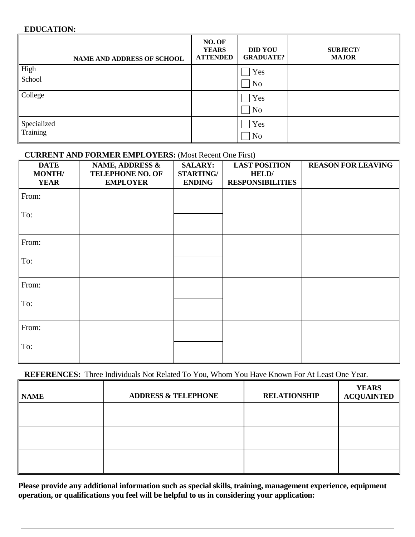## **EDUCATION:**

|             | <b>NAME AND ADDRESS OF SCHOOL</b> | NO. OF<br><b>YEARS</b><br><b>ATTENDED</b> | <b>DID YOU</b><br><b>GRADUATE?</b> | <b>SUBJECT/</b><br><b>MAJOR</b> |
|-------------|-----------------------------------|-------------------------------------------|------------------------------------|---------------------------------|
| High        |                                   |                                           | Yes                                |                                 |
| School      |                                   |                                           | N <sub>o</sub>                     |                                 |
| College     |                                   |                                           | Yes                                |                                 |
|             |                                   |                                           | N <sub>o</sub>                     |                                 |
| Specialized |                                   |                                           | Yes                                |                                 |
| Training    |                                   |                                           | N <sub>o</sub>                     |                                 |

## **CURRENT AND FORMER EMPLOYERS:** (Most Recent One First)

| <b>DATE</b><br><b>MONTH/</b><br><b>YEAR</b> | <b>NAME, ADDRESS &amp;</b><br><b>TELEPHONE NO. OF</b><br><b>EMPLOYER</b> | <b>SALARY:</b><br><b>STARTING/</b><br><b>ENDING</b> | <b>LAST POSITION</b><br><b>HELD</b><br><b>RESPONSIBILITIES</b> | <b>REASON FOR LEAVING</b> |
|---------------------------------------------|--------------------------------------------------------------------------|-----------------------------------------------------|----------------------------------------------------------------|---------------------------|
| From:                                       |                                                                          |                                                     |                                                                |                           |
| To:                                         |                                                                          |                                                     |                                                                |                           |
| From:                                       |                                                                          |                                                     |                                                                |                           |
| To:                                         |                                                                          |                                                     |                                                                |                           |
| From:                                       |                                                                          |                                                     |                                                                |                           |
| To:                                         |                                                                          |                                                     |                                                                |                           |
| From:                                       |                                                                          |                                                     |                                                                |                           |
| To:                                         |                                                                          |                                                     |                                                                |                           |

## **REFERENCES:** Three Individuals Not Related To You, Whom You Have Known For At Least One Year.

| <b>NAME</b> | <b>ADDRESS &amp; TELEPHONE</b> | <b>RELATIONSHIP</b> | <b>YEARS</b><br><b>ACQUAINTED</b> |
|-------------|--------------------------------|---------------------|-----------------------------------|
|             |                                |                     |                                   |
|             |                                |                     |                                   |
|             |                                |                     |                                   |

**Please provide any additional information such as special skills, training, management experience, equipment operation, or qualifications you feel will be helpful to us in considering your application:**